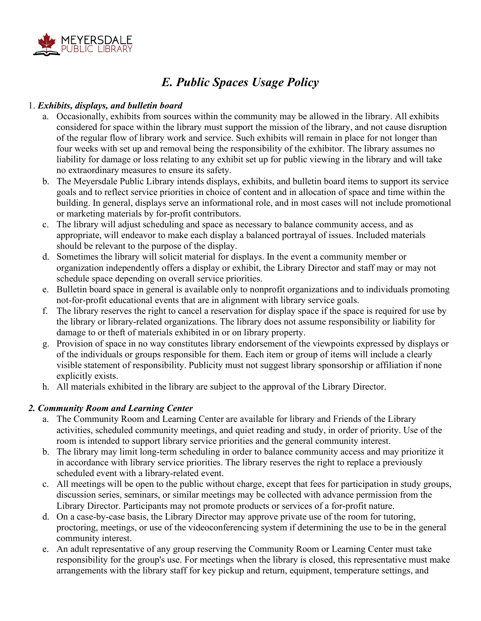

## *E. Public Spaces Usage Policy*

## 1. *Exhibits, displays, and bulletin board*

- a. Occasionally, exhibits from sources within the community may be allowed in the library. All exhibits considered for space within the library must support the mission of the library, and not cause disruption of the regular flow of library work and service. Such exhibits will remain in place for not longer than four weeks with set up and removal being the responsibility of the exhibitor. The library assumes no liability for damage or loss relating to any exhibit set up for public viewing in the library and will take no extraordinary measures to ensure its safety.
- b. The Meyersdale Public Library intends displays, exhibits, and bulletin board items to support its service goals and to reflect service priorities in choice of content and in allocation of space and time within the building. In general, displays serve an informational role, and in most cases will not include promotional or marketing materials by for-profit contributors.
- c. The library will adjust scheduling and space as necessary to balance community access, and as appropriate, will endeavor to make each display a balanced portrayal of issues. Included materials should be relevant to the purpose of the display.
- d. Sometimes the library will solicit material for displays. In the event a community member or organization independently offers a display or exhibit, the Library Director and staff may or may not schedule space depending on overall service priorities.
- e. Bulletin board space in general is available only to nonprofit organizations and to individuals promoting not-for-profit educational events that are in alignment with library service goals.
- f. The library reserves the right to cancel a reservation for display space if the space is required for use by the library or library-related organizations. The library does not assume responsibility or liability for damage to or theft of materials exhibited in or on library property.
- g. Provision of space in no way constitutes library endorsement of the viewpoints expressed by displays or of the individuals or groups responsible for them. Each item or group of items will include a clearly visible statement of responsibility. Publicity must not suggest library sponsorship or affiliation if none explicitly exists.
- h. All materials exhibited in the library are subject to the approval of the Library Director.

## *2. Community Room and Learning Center*

- a. The Community Room and Learning Center are available for library and Friends of the Library activities, scheduled community meetings, and quiet reading and study, in order of priority. Use of the room is intended to support library service priorities and the general community interest.
- b. The library may limit long-term scheduling in order to balance community access and may prioritize it in accordance with library service priorities. The library reserves the right to replace a previously scheduled event with a library-related event.
- c. All meetings will be open to the public without charge, except that fees for participation in study groups, discussion series, seminars, or similar meetings may be collected with advance permission from the Library Director. Participants may not promote products or services of a for-profit nature.
- d. On a case-by-case basis, the Library Director may approve private use of the room for tutoring, proctoring, meetings, or use of the videoconferencing system if determining the use to be in the general community interest.
- e. An adult representative of any group reserving the Community Room or Learning Center must take responsibility for the group's use. For meetings when the library is closed, this representative must make arrangements with the library staff for key pickup and return, equipment, temperature settings, and